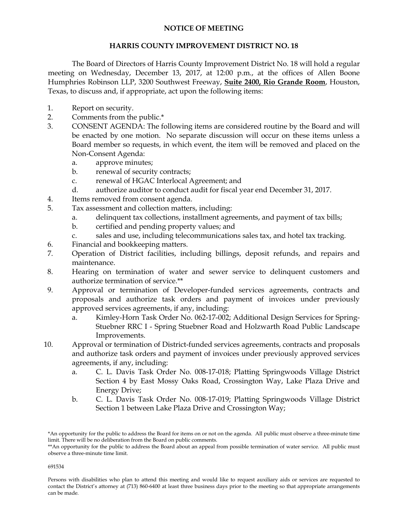## **NOTICE OF MEETING**

## **HARRIS COUNTY IMPROVEMENT DISTRICT NO. 18**

The Board of Directors of Harris County Improvement District No. 18 will hold a regular meeting on Wednesday, December 13, 2017, at 12:00 p.m., at the offices of Allen Boone Humphries Robinson LLP, 3200 Southwest Freeway, **Suite 2400, Rio Grande Room**, Houston, Texas, to discuss and, if appropriate, act upon the following items:

- 1. Report on security.
- 2. Comments from the public.\*
- 3. CONSENT AGENDA: The following items are considered routine by the Board and will be enacted by one motion. No separate discussion will occur on these items unless a Board member so requests, in which event, the item will be removed and placed on the Non-Consent Agenda:
	- a. approve minutes;
	- b. renewal of security contracts;
	- c. renewal of HGAC Interlocal Agreement; and
	- d. authorize auditor to conduct audit for fiscal year end December 31, 2017.
- 4. Items removed from consent agenda.
- 5. Tax assessment and collection matters, including:
	- a. delinquent tax collections, installment agreements, and payment of tax bills;
	- b. certified and pending property values; and
	- c. sales and use, including telecommunications sales tax, and hotel tax tracking.
- 6. Financial and bookkeeping matters.
- 7. Operation of District facilities, including billings, deposit refunds, and repairs and maintenance.
- 8. Hearing on termination of water and sewer service to delinquent customers and authorize termination of service.\*\*
- 9. Approval or termination of Developer-funded services agreements, contracts and proposals and authorize task orders and payment of invoices under previously approved services agreements, if any, including:
	- a. Kimley-Horn Task Order No. 062-17-002; Additional Design Services for Spring-Stuebner RRC I - Spring Stuebner Road and Holzwarth Road Public Landscape Improvements.
- 10. Approval or termination of District-funded services agreements, contracts and proposals and authorize task orders and payment of invoices under previously approved services agreements, if any, including:
	- a. C. L. Davis Task Order No. 008-17-018; Platting Springwoods Village District Section 4 by East Mossy Oaks Road, Crossington Way, Lake Plaza Drive and Energy Drive;
	- b. C. L. Davis Task Order No. 008-17-019; Platting Springwoods Village District Section 1 between Lake Plaza Drive and Crossington Way;

<sup>\*</sup>An opportunity for the public to address the Board for items on or not on the agenda. All public must observe a three-minute time limit. There will be no deliberation from the Board on public comments.

<sup>\*\*</sup>An opportunity for the public to address the Board about an appeal from possible termination of water service. All public must observe a three-minute time limit.

Persons with disabilities who plan to attend this meeting and would like to request auxiliary aids or services are requested to contact the District's attorney at (713) 860-6400 at least three business days prior to the meeting so that appropriate arrangements can be made.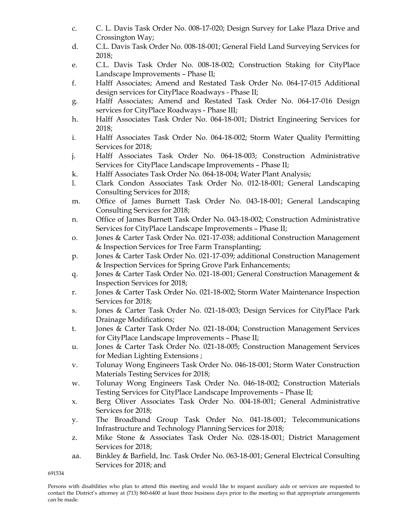- c. C. L. Davis Task Order No. 008-17-020; Design Survey for Lake Plaza Drive and Crossington Way;
- d. C.L. Davis Task Order No. 008-18-001; General Field Land Surveying Services for 2018;
- e. C.L. Davis Task Order No. 008-18-002; Construction Staking for CityPlace Landscape Improvements – Phase II;
- f. Halff Associates; Amend and Restated Task Order No. 064-17-015 Additional design services for CityPlace Roadways - Phase II;
- g. Halff Associates; Amend and Restated Task Order No. 064-17-016 Design services for CityPlace Roadways - Phase III;
- h. Halff Associates Task Order No. 064-18-001; District Engineering Services for 2018;
- i. Halff Associates Task Order No. 064-18-002; Storm Water Quality Permitting Services for 2018;
- j. Halff Associates Task Order No. 064-18-003; Construction Administrative Services for CityPlace Landscape Improvements – Phase II;
- k. Halff Associates Task Order No. 064-18-004; Water Plant Analysis;
- l. Clark Condon Associates Task Order No. 012-18-001; General Landscaping Consulting Services for 2018;
- m. Office of James Burnett Task Order No. 043-18-001; General Landscaping Consulting Services for 2018;
- n. Office of James Burnett Task Order No. 043-18-002; Construction Administrative Services for CityPlace Landscape Improvements – Phase II;
- o. Jones & Carter Task Order No. 021-17-038; additional Construction Management & Inspection Services for Tree Farm Transplanting;
- p. Jones & Carter Task Order No. 021-17-039; additional Construction Management & Inspection Services for Spring Grove Park Enhancements;
- q. Jones & Carter Task Order No. 021-18-001; General Construction Management & Inspection Services for 2018;
- r. Jones & Carter Task Order No. 021-18-002; Storm Water Maintenance Inspection Services for 2018;
- s. Jones & Carter Task Order No. 021-18-003; Design Services for CityPlace Park Drainage Modifications;
- t. Jones & Carter Task Order No. 021-18-004; Construction Management Services for CityPlace Landscape Improvements – Phase II;
- u. Jones & Carter Task Order No. 021-18-005; Construction Management Services for Median Lighting Extensions ;
- v. Tolunay Wong Engineers Task Order No. 046-18-001; Storm Water Construction Materials Testing Services for 2018;
- w. Tolunay Wong Engineers Task Order No. 046-18-002; Construction Materials Testing Services for CityPlace Landscape Improvements – Phase II;
- x. Berg Oliver Associates Task Order No. 004-18-001; General Administrative Services for 2018;
- y. The Broadband Group Task Order No. 041-18-001; Telecommunications Infrastructure and Technology Planning Services for 2018;
- z. Mike Stone & Associates Task Order No. 028-18-001; District Management Services for 2018;
- aa. Binkley & Barfield, Inc. Task Order No. 063-18-001; General Electrical Consulting Services for 2018; and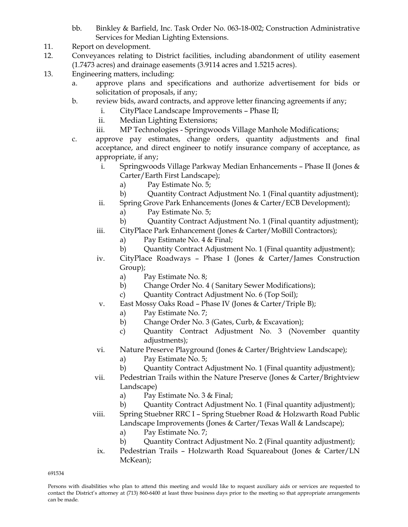- bb. Binkley & Barfield, Inc. Task Order No. 063-18-002; Construction Administrative Services for Median Lighting Extensions.
- 11. Report on development.
- 12. Conveyances relating to District facilities, including abandonment of utility easement (1.7473 acres) and drainage easements (3.9114 acres and 1.5215 acres).
- 13. Engineering matters, including:
	- a. approve plans and specifications and authorize advertisement for bids or solicitation of proposals, if any;
	- b. review bids, award contracts, and approve letter financing agreements if any;
		- i. CityPlace Landscape Improvements Phase II;
		- ii. Median Lighting Extensions;
		- iii. MP Technologies Springwoods Village Manhole Modifications;
	- c. approve pay estimates, change orders, quantity adjustments and final acceptance, and direct engineer to notify insurance company of acceptance, as appropriate, if any;
		- i. Springwoods Village Parkway Median Enhancements Phase II (Jones & Carter/Earth First Landscape);
			- a) Pay Estimate No. 5;
			- b) Quantity Contract Adjustment No. 1 (Final quantity adjustment);
		- ii. Spring Grove Park Enhancements (Jones & Carter/ECB Development);
			- a) Pay Estimate No. 5;
			- b) Quantity Contract Adjustment No. 1 (Final quantity adjustment);
		- iii. CityPlace Park Enhancement (Jones & Carter/MoBill Contractors);
			- a) Pay Estimate No. 4 & Final;
			- b) Quantity Contract Adjustment No. 1 (Final quantity adjustment);
		- iv. CityPlace Roadways Phase I (Jones & Carter/James Construction Group);
			- a) Pay Estimate No. 8;
			- b) Change Order No. 4 ( Sanitary Sewer Modifications);
			- c) Quantity Contract Adjustment No. 6 (Top Soil);
		- v. East Mossy Oaks Road Phase IV (Jones & Carter/Triple B);
			- a) Pay Estimate No. 7;
			- b) Change Order No. 3 (Gates, Curb, & Excavation);
			- c) Quantity Contract Adjustment No. 3 (November quantity adjustments);

# vi. Nature Preserve Playground (Jones & Carter/Brightview Landscape);

- a) Pay Estimate No. 5;
- b) Quantity Contract Adjustment No. 1 (Final quantity adjustment);
- vii. Pedestrian Trails within the Nature Preserve (Jones & Carter/Brightview Landscape)
	- a) Pay Estimate No. 3 & Final;
	- b) Quantity Contract Adjustment No. 1 (Final quantity adjustment);

viii. Spring Stuebner RRC I – Spring Stuebner Road & Holzwarth Road Public Landscape Improvements (Jones & Carter/Texas Wall & Landscape);

- a) Pay Estimate No. 7;
- b) Quantity Contract Adjustment No. 2 (Final quantity adjustment);
- ix. Pedestrian Trails Holzwarth Road Squareabout (Jones & Carter/LN McKean);